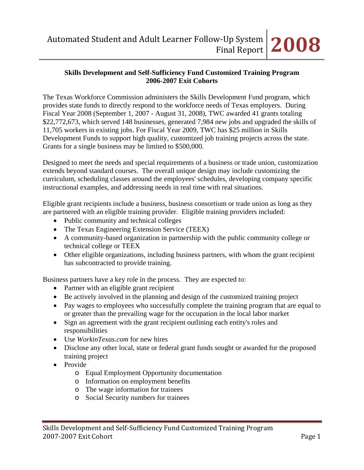The Texas Workforce Commission administers the Skills Development Fund program, which provides state funds to directly respond to the workforce needs of Texas employers. During Fiscal Year 2008 (September 1, 2007 - August 31, 2008), TWC awarded 41 grants totaling \$22,772,673, which served 148 businesses, generated 7,984 new jobs and upgraded the skills of 11,705 workers in existing jobs. For Fiscal Year 2009, TWC has \$25 million in Skills Development Funds to support high quality, customized job training projects across the state. Grants for a single business may be limited to \$500,000.

Designed to meet the needs and special requirements of a business or trade union, customization extends beyond standard courses. The overall unique design may include customizing the curriculum, scheduling classes around the employees' schedules, developing company specific instructional examples, and addressing needs in real time with real situations.

Eligible grant recipients include a business, business consortium or trade union as long as they are partnered with an eligible training provider. Eligible training providers included:

- Public community and technical colleges
- The Texas Engineering Extension Service (TEEX)
- A community-based organization in partnership with the public community college or technical college or TEEX
- Other eligible organizations, including business partners, with whom the grant recipient has subcontracted to provide training.

Business partners have a key role in the process. They are expected to:

- Partner with an eligible grant recipient
- Be actively involved in the planning and design of the customized training project
- Pay wages to employees who successfully complete the training program that are equal to or greater than the prevailing wage for the occupation in the local labor market
- Sign an agreement with the grant recipient outlining each entity's roles and responsibilities
- Use *WorkinTexas.com* for new hires
- Disclose any other local, state or federal grant funds sought or awarded for the proposed training project
- Provide
	- o Equal Employment Opportunity documentation
	- o Information on employment benefits
	- o The wage information for trainees
	- o Social Security numbers for trainees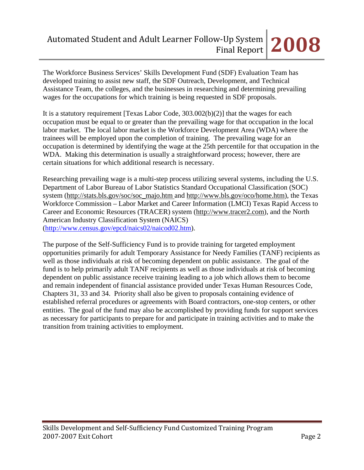The Workforce Business Services' Skills Development Fund (SDF) Evaluation Team has developed training to assist new staff, the SDF Outreach, Development, and Technical Assistance Team, the colleges, and the businesses in researching and determining prevailing wages for the occupations for which training is being requested in SDF proposals.

It is a statutory requirement [Texas Labor Code, 303.002(b)(2)] that the wages for each occupation must be equal to or greater than the prevailing wage for that occupation in the local labor market. The local labor market is the Workforce Development Area (WDA) where the trainees will be employed upon the completion of training. The prevailing wage for an occupation is determined by identifying the wage at the 25th percentile for that occupation in the WDA. Making this determination is usually a straightforward process; however, there are certain situations for which additional research is necessary.

Researching prevailing wage is a multi-step process utilizing several systems, including the U.S. Department of Labor Bureau of Labor Statistics Standard Occupational Classification (SOC) system (http://stats.bls.gov/soc/soc\_majo.htm and http://www.bls.gov/oco/home.htm), the Texas Workforce Commission – Labor Market and Career Information (LMCI) Texas Rapid Access to Career and Economic Resources (TRACER) system (http://www.tracer2.com), and the North American Industry Classification System (NAICS) ([http://www.census.gov/epcd/naics02/naicod02.htm\)](http://www.census.gov/epcd/naics02/naicod02.htm).

The purpose of the Self-Sufficiency Fund is to provide training for targeted employment opportunities primarily for adult Temporary Assistance for Needy Families (TANF) recipients as well as those individuals at risk of becoming dependent on public assistance. The goal of the fund is to help primarily adult TANF recipients as well as those individuals at risk of becoming dependent on public assistance receive training leading to a job which allows them to become and remain independent of financial assistance provided under Texas Human Resources Code, Chapters 31, 33 and 34. Priority shall also be given to proposals containing evidence of established referral procedures or agreements with Board contractors, one-stop centers, or other entities. The goal of the fund may also be accomplished by providing funds for support services as necessary for participants to prepare for and participate in training activities and to make the transition from training activities to employment.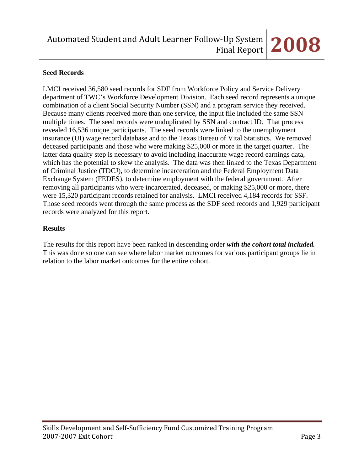## **Seed Records**

LMCI received 36,580 seed records for SDF from Workforce Policy and Service Delivery department of TWC's Workforce Development Division. Each seed record represents a unique combination of a client Social Security Number (SSN) and a program service they received. Because many clients received more than one service, the input file included the same SSN multiple times. The seed records were unduplicated by SSN and contract ID. That process revealed 16,536 unique participants. The seed records were linked to the unemployment insurance (UI) wage record database and to the Texas Bureau of Vital Statistics. We removed deceased participants and those who were making \$25,000 or more in the target quarter. The latter data quality step is necessary to avoid including inaccurate wage record earnings data, which has the potential to skew the analysis. The data was then linked to the Texas Department of Criminal Justice (TDCJ), to determine incarceration and the Federal Employment Data Exchange System (FEDES), to determine employment with the federal government. After removing all participants who were incarcerated, deceased, or making \$25,000 or more, there were 15,320 participant records retained for analysis. LMCI received 4,184 records for SSF. Those seed records went through the same process as the SDF seed records and 1,929 participant records were analyzed for this report.

## **Results**

The results for this report have been ranked in descending order *with the cohort total included.* This was done so one can see where labor market outcomes for various participant groups lie in relation to the labor market outcomes for the entire cohort.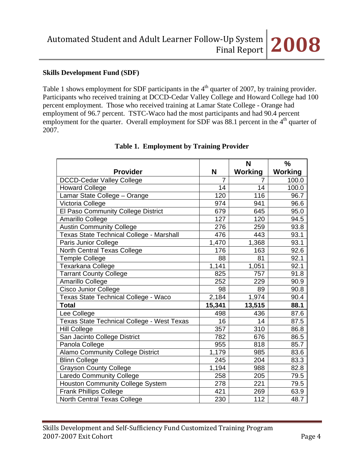## **Skills Development Fund (SDF)**

Table 1 shows employment for SDF participants in the 4<sup>th</sup> quarter of 2007, by training provider. Participants who received training at DCCD-Cedar Valley College and Howard College had 100 percent employment. Those who received training at Lamar State College - Orange had employment of 96.7 percent. TSTC-Waco had the most participants and had 90.4 percent employment for the quarter. Overall employment for SDF was 88.1 percent in the  $4<sup>th</sup>$  quarter of 2007.

|                                                   |                | N              | $\frac{0}{0}$  |
|---------------------------------------------------|----------------|----------------|----------------|
| <b>Provider</b>                                   | N              | <b>Working</b> | <b>Working</b> |
| <b>DCCD-Cedar Valley College</b>                  | $\overline{7}$ | 7              | 100.0          |
| <b>Howard College</b>                             | 14             | 14             | 100.0          |
| Lamar State College - Orange                      | 120            | 116            | 96.7           |
| Victoria College                                  | 974            | 941            | 96.6           |
| El Paso Community College District                | 679            | 645            | 95.0           |
| Amarillo College                                  | 127            | 120            | 94.5           |
| <b>Austin Community College</b>                   | 276            | 259            | 93.8           |
| Texas State Technical College - Marshall          | 476            | 443            | 93.1           |
| Paris Junior College                              | 1,470          | 1,368          | 93.1           |
| North Central Texas College                       | 176            | 163            | 92.6           |
| <b>Temple College</b>                             | 88             | 81             | 92.1           |
| Texarkana College                                 | 1,141          | 1,051          | 92.1           |
| <b>Tarrant County College</b>                     | 825            | 757            | 91.8           |
| Amarillo College                                  | 252            | 229            | 90.9           |
| <b>Cisco Junior College</b>                       | 98             | 89             | 90.8           |
| Texas State Technical College - Waco              | 2,184          | 1,974          | 90.4           |
| <b>Total</b>                                      | 15,341         | 13,515         | 88.1           |
| Lee College                                       | 498            | 436            | 87.6           |
| <b>Texas State Technical College - West Texas</b> | 16             | 14             | 87.5           |
| <b>Hill College</b>                               | 357            | 310            | 86.8           |
| San Jacinto College District                      | 782            | 676            | 86.5           |
| Panola College                                    | 955            | 818            | 85.7           |
| <b>Alamo Community College District</b>           | 1,179          | 985            | 83.6           |
| <b>Blinn College</b>                              | 245            | 204            | 83.3           |
| <b>Grayson County College</b>                     | 1,194          | 988            | 82.8           |
| <b>Laredo Community College</b>                   | 258            | 205            | 79.5           |
| <b>Houston Community College System</b>           | 278            | 221            | 79.5           |
| <b>Frank Phillips College</b>                     | 421            | 269            | 63.9           |
| North Central Texas College                       | 230            | 112            | 48.7           |

### **Table 1. Employment by Training Provider**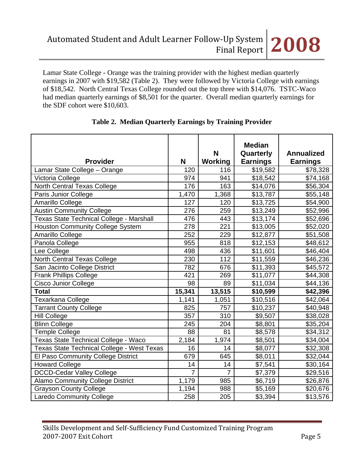Lamar State College - Orange was the training provider with the highest median quarterly earnings in 2007 with \$19,582 (Table 2). They were followed by Victoria College with earnings of \$18,542. North Central Texas College rounded out the top three with \$14,076. TSTC-Waco had median quarterly earnings of \$8,501 for the quarter. Overall median quarterly earnings for the SDF cohort were \$10,603.

| <b>Provider</b>                            | N              | N<br>Working   | <b>Median</b><br>Quarterly<br><b>Earnings</b> | <b>Annualized</b><br><b>Earnings</b> |
|--------------------------------------------|----------------|----------------|-----------------------------------------------|--------------------------------------|
| Lamar State College - Orange               | 120            | 116            | \$19,582                                      | \$78,328                             |
| Victoria College                           | 974            | 941            | \$18,542                                      | \$74,168                             |
| North Central Texas College                | 176            | 163            | \$14,076                                      | \$56,304                             |
| Paris Junior College                       | 1,470          | 1,368          | \$13,787                                      | \$55,148                             |
| Amarillo College                           | 127            | 120            | \$13,725                                      | \$54,900                             |
| <b>Austin Community College</b>            | 276            | 259            | \$13,249                                      | \$52,996                             |
| Texas State Technical College - Marshall   | 476            | 443            | \$13,174                                      | \$52,696                             |
| <b>Houston Community College System</b>    | 278            | 221            | \$13,005                                      | \$52,020                             |
| Amarillo College                           | 252            | 229            | \$12,877                                      | \$51,508                             |
| Panola College                             | 955            | 818            | \$12,153                                      | \$48,612                             |
| Lee College                                | 498            | 436            | \$11,601                                      | \$46,404                             |
| North Central Texas College                | 230            | 112            | \$11,559                                      | \$46,236                             |
| San Jacinto College District               | 782            | 676            | \$11,393                                      | \$45,572                             |
| <b>Frank Phillips College</b>              | 421            | 269            | \$11,077                                      | \$44,308                             |
| <b>Cisco Junior College</b>                | 98             | 89             | \$11,034                                      | \$44,136                             |
| <b>Total</b>                               | 15,341         | 13,515         | \$10,599                                      | \$42,396                             |
| Texarkana College                          | 1,141          | 1,051          | \$10,516                                      | \$42,064                             |
| <b>Tarrant County College</b>              | 825            | 757            | \$10,237                                      | \$40,948                             |
| <b>Hill College</b>                        | 357            | 310            | \$9,507                                       | \$38,028                             |
| <b>Blinn College</b>                       | 245            | 204            | \$8,801                                       | \$35,204                             |
| <b>Temple College</b>                      | 88             | 81             | \$8,578                                       | \$34,312                             |
| Texas State Technical College - Waco       | 2,184          | 1,974          | \$8,501                                       | \$34,004                             |
| Texas State Technical College - West Texas | 16             | 14             | \$8,077                                       | \$32,308                             |
| El Paso Community College District         | 679            | 645            | \$8,011                                       | \$32,044                             |
| <b>Howard College</b>                      | 14             | 14             | \$7,541                                       | \$30,164                             |
| <b>DCCD-Cedar Valley College</b>           | $\overline{7}$ | $\overline{7}$ | \$7,379                                       | \$29,516                             |
| <b>Alamo Community College District</b>    | 1,179          | 985            | \$6,719                                       | \$26,876                             |
| <b>Grayson County College</b>              | 1,194          | 988            | \$5,169                                       | \$20,676                             |
| <b>Laredo Community College</b>            | 258            | 205            | \$3,394                                       | \$13,576                             |

# **Table 2. Median Quarterly Earnings by Training Provider**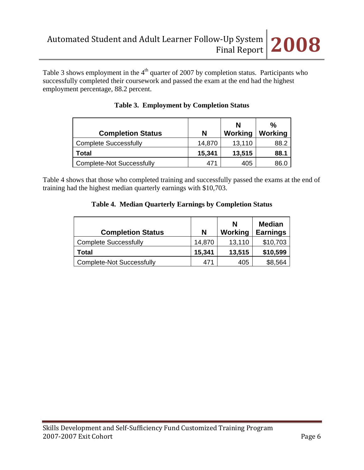Table 3 shows employment in the  $4<sup>th</sup>$  quarter of 2007 by completion status. Participants who successfully completed their coursework and passed the exam at the end had the highest employment percentage, 88.2 percent.

| <b>Completion Status</b>         | N      | N<br>Working | $\frac{0}{0}$<br>Working |
|----------------------------------|--------|--------------|--------------------------|
| <b>Complete Successfully</b>     | 14,870 | 13,110       | 88.2                     |
| Total                            | 15,341 | 13,515       | 88.1                     |
| <b>Complete-Not Successfully</b> | 471    | 405          | 86.C                     |

|  | <b>Table 3. Employment by Completion Status</b> |  |  |  |
|--|-------------------------------------------------|--|--|--|
|--|-------------------------------------------------|--|--|--|

Table 4 shows that those who completed training and successfully passed the exams at the end of training had the highest median quarterly earnings with \$10,703.

|  |  |  |  | Table 4. Median Quarterly Earnings by Completion Status |  |
|--|--|--|--|---------------------------------------------------------|--|
|--|--|--|--|---------------------------------------------------------|--|

| <b>Completion Status</b>         | N      | N<br>Working | <b>Median</b><br><b>Earnings</b> |
|----------------------------------|--------|--------------|----------------------------------|
| <b>Complete Successfully</b>     | 14,870 | 13,110       | \$10,703                         |
| Total                            | 15,341 | 13,515       | \$10,599                         |
| <b>Complete-Not Successfully</b> | 471    | 405          | \$8,564                          |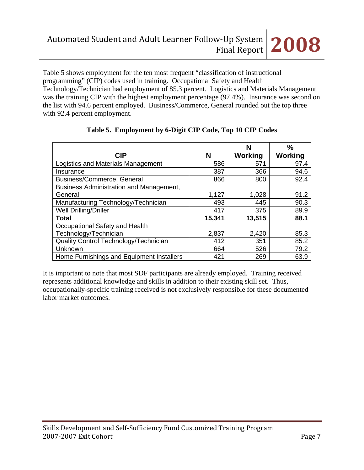Table 5 shows employment for the ten most frequent "classification of instructional programming" (CIP) codes used in training. Occupational Safety and Health Technology/Technician had employment of 85.3 percent. Logistics and Materials Management was the training CIP with the highest employment percentage (97.4%). Insurance was second on the list with 94.6 percent employed. Business/Commerce, General rounded out the top three with 92.4 percent employment.

|                                              |        | N              | $\%$    |
|----------------------------------------------|--------|----------------|---------|
| <b>CIP</b>                                   | N      | <b>Working</b> | Working |
| Logistics and Materials Management           | 586    | 571            | 97.4    |
| Insurance                                    | 387    | 366            | 94.6    |
| Business/Commerce, General                   | 866    | 800            | 92.4    |
| Business Administration and Management,      |        |                |         |
| General                                      | 1,127  | 1,028          | 91.2    |
| Manufacturing Technology/Technician          | 493    | 445            | 90.3    |
| Well Drilling/Driller                        | 417    | 375            | 89.9    |
| Total                                        | 15,341 | 13,515         | 88.1    |
| Occupational Safety and Health               |        |                |         |
| Technology/Technician                        | 2,837  | 2,420          | 85.3    |
| <b>Quality Control Technology/Technician</b> | 412    | 351            | 85.2    |
| Unknown                                      | 664    | 526            | 79.2    |
| Home Furnishings and Equipment Installers    | 421    | 269            | 63.9    |

# **Table 5. Employment by 6-Digit CIP Code, Top 10 CIP Codes**

It is important to note that most SDF participants are already employed. Training received represents additional knowledge and skills in addition to their existing skill set. Thus, occupationally-specific training received is not exclusively responsible for these documented labor market outcomes.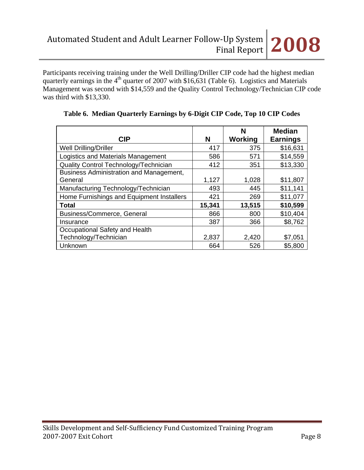Participants receiving training under the Well Drilling/Driller CIP code had the highest median quarterly earnings in the  $4<sup>th</sup>$  quarter of 2007 with \$16,631 (Table 6). Logistics and Materials Management was second with \$14,559 and the Quality Control Technology/Technician CIP code was third with \$13,330.

| <b>CIP</b>                                         | N      | N<br>Working | <b>Median</b><br><b>Earnings</b> |
|----------------------------------------------------|--------|--------------|----------------------------------|
| <b>Well Drilling/Driller</b>                       | 417    | 375          | \$16,631                         |
| Logistics and Materials Management                 | 586    | 571          | \$14,559                         |
| Quality Control Technology/Technician              | 412    | 351          | \$13,330                         |
| Business Administration and Management,<br>General | 1,127  | 1,028        | \$11,807                         |
| Manufacturing Technology/Technician                | 493    | 445          | \$11,141                         |
| Home Furnishings and Equipment Installers          | 421    | 269          | \$11,077                         |
| <b>Total</b>                                       | 15,341 | 13,515       | \$10,599                         |
| Business/Commerce, General                         | 866    | 800          | \$10,404                         |
| Insurance                                          | 387    | 366          | \$8,762                          |
| Occupational Safety and Health                     |        |              |                                  |
| Technology/Technician                              | 2,837  | 2,420        | \$7,051                          |
| Unknown                                            | 664    | 526          | \$5,800                          |

## **Table 6. Median Quarterly Earnings by 6-Digit CIP Code, Top 10 CIP Codes**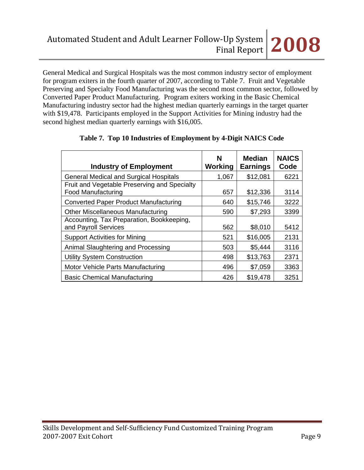General Medical and Surgical Hospitals was the most common industry sector of employment for program exiters in the fourth quarter of 2007, according to Table 7. Fruit and Vegetable Preserving and Specialty Food Manufacturing was the second most common sector, followed by Converted Paper Product Manufacturing. Program exiters working in the Basic Chemical Manufacturing industry sector had the highest median quarterly earnings in the target quarter with \$19,478. Participants employed in the Support Activities for Mining industry had the second highest median quarterly earnings with \$16,005.

| <b>Industry of Employment</b>                                             | N<br>Working | <b>Median</b><br><b>Earnings</b> | <b>NAICS</b><br>Code |
|---------------------------------------------------------------------------|--------------|----------------------------------|----------------------|
| <b>General Medical and Surgical Hospitals</b>                             | 1,067        | \$12,081                         | 6221                 |
| Fruit and Vegetable Preserving and Specialty<br><b>Food Manufacturing</b> | 657          | \$12,336                         | 3114                 |
| <b>Converted Paper Product Manufacturing</b>                              | 640          | \$15,746                         | 3222                 |
| <b>Other Miscellaneous Manufacturing</b>                                  | 590          | \$7,293                          | 3399                 |
| Accounting, Tax Preparation, Bookkeeping,<br>and Payroll Services         | 562          | \$8,010                          | 5412                 |
| <b>Support Activities for Mining</b>                                      | 521          | \$16,005                         | 2131                 |
| Animal Slaughtering and Processing                                        | 503          | \$5,444                          | 3116                 |
| <b>Utility System Construction</b>                                        | 498          | \$13,763                         | 2371                 |
| Motor Vehicle Parts Manufacturing                                         | 496          | \$7,059                          | 3363                 |
| <b>Basic Chemical Manufacturing</b>                                       | 426          | \$19,478                         | 3251                 |

# **Table 7. Top 10 Industries of Employment by 4-Digit NAICS Code**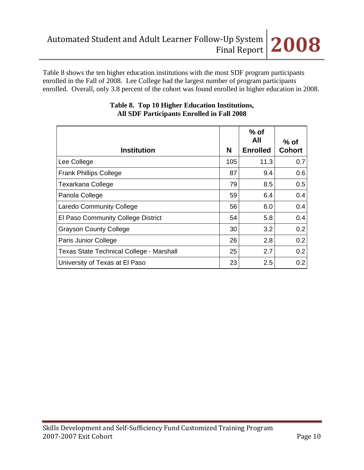Table 8 shows the ten higher education institutions with the most SDF program participants enrolled in the Fall of 2008. Lee College had the largest number of program participants enrolled. Overall, only 3.8 percent of the cohort was found enrolled in higher education in 2008.

| <b>Institution</b>                              | N   | $%$ of<br>All<br><b>Enrolled</b> | $%$ of<br><b>Cohort</b> |
|-------------------------------------------------|-----|----------------------------------|-------------------------|
| Lee College                                     | 105 | 11.3                             | 0.7                     |
| <b>Frank Phillips College</b>                   | 87  | 9.4                              | 0.6                     |
| <b>Texarkana College</b>                        | 79  | 8.5                              | 0.5                     |
| Panola College                                  | 59  | 6.4                              | 0.4                     |
| <b>Laredo Community College</b>                 | 56  | 6.0                              | 0.4                     |
| El Paso Community College District              | 54  | 5.8                              | 0.4                     |
| <b>Grayson County College</b>                   | 30  | 3.2                              | 0.2                     |
| Paris Junior College                            | 26  | 2.8                              | 0.2                     |
| <b>Texas State Technical College - Marshall</b> | 25  | 2.7                              | 0.2                     |
| University of Texas at El Paso                  | 23  | 2.5                              | 0.2                     |

# **Table 8. Top 10 Higher Education Institutions, All SDF Participants Enrolled in Fall 2008**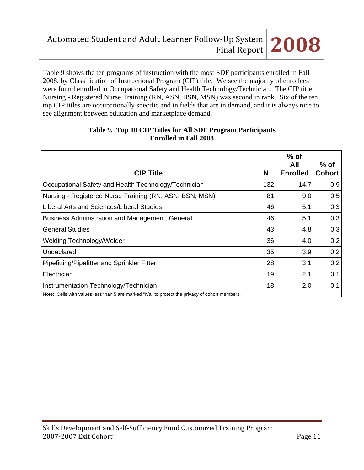Table 9 shows the ten programs of instruction with the most SDF participants enrolled in Fall 2008, by Classification of Instructional Program (CIP) title. We see the majority of enrollees were found enrolled in Occupational Safety and Health Technology/Technician. The CIP title Nursing - Registered Nurse Training (RN, ASN, BSN, MSN) was second in rank. Six of the ten top CIP titles are occupationally specific and in fields that are in demand, and it is always nice to see alignment between education and marketplace demand.

| <b>CIP Title</b>                                                                               | N   | $%$ of<br>All<br><b>Enrolled</b> | $%$ of<br><b>Cohort</b> |
|------------------------------------------------------------------------------------------------|-----|----------------------------------|-------------------------|
| Occupational Safety and Health Technology/Technician                                           | 132 | 14.7                             | 0.9                     |
| Nursing - Registered Nurse Training (RN, ASN, BSN, MSN)                                        | 81  | 9.0                              | 0.5                     |
| Liberal Arts and Sciences/Liberal Studies                                                      | 46  | 5.1                              | 0.3                     |
| Business Administration and Management, General                                                | 46  | 5.1                              | 0.3                     |
| <b>General Studies</b>                                                                         | 43  | 4.8                              | 0.3                     |
| <b>Welding Technology/Welder</b>                                                               | 36  | 4.0                              | 0.2                     |
| Undeclared                                                                                     | 35  | 3.9                              | 0.2                     |
| Pipefitting/Pipefitter and Sprinkler Fitter                                                    | 28  | 3.1                              | 0.2                     |
| Electrician                                                                                    | 19  | 2.1                              | 0.1                     |
| Instrumentation Technology/Technician                                                          | 18  | 2.0                              | 0.1                     |
| Note: Cells with values less than 5 are marked "n/a" to protect the privacy of cohort members. |     |                                  |                         |

## **Table 9. Top 10 CIP Titles for All SDF Program Participants Enrolled in Fall 2008**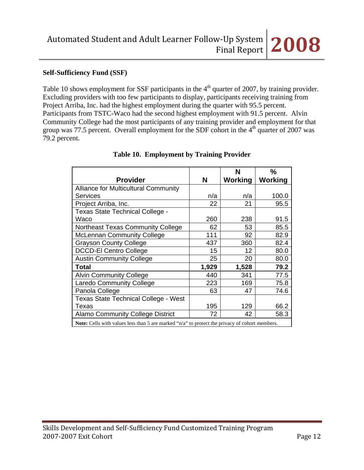## **Self-Sufficiency Fund (SSF)**

Table 10 shows employment for SSF participants in the  $4<sup>th</sup>$  quarter of 2007, by training provider. Excluding providers with too few participants to display, participants receiving training from Project Arriba, Inc. had the highest employment during the quarter with 95.5 percent. Participants from TSTC-Waco had the second highest employment with 91.5 percent. Alvin Community College had the most participants of any training provider and employment for that group was 77.5 percent. Overall employment for the SDF cohort in the  $4<sup>th</sup>$  quarter of 2007 was 79.2 percent.

|                                                                                                |       | N              | $\frac{0}{0}$ |
|------------------------------------------------------------------------------------------------|-------|----------------|---------------|
| <b>Provider</b>                                                                                | N     | <b>Working</b> | Working       |
| <b>Alliance for Multicultural Community</b>                                                    |       |                |               |
| <b>Services</b>                                                                                | n/a   | n/a            | 100.0         |
| Project Arriba, Inc.                                                                           | 22    | 21             | 95.5          |
| Texas State Technical College -                                                                |       |                |               |
| Waco                                                                                           | 260   | 238            | 91.5          |
| Northeast Texas Community College                                                              | 62    | 53             | 85.5          |
| <b>McLennan Community College</b>                                                              | 111   | 92             | 82.9          |
| <b>Grayson County College</b>                                                                  | 437   | 360            | 82.4          |
| <b>DCCD-El Centro College</b>                                                                  | 15    | 12             | 80.0          |
| <b>Austin Community College</b>                                                                | 25    | 20             | 80.0          |
| Total                                                                                          | 1,929 | 1,528          | 79.2          |
| <b>Alvin Community College</b>                                                                 | 440   | 341            | 77.5          |
| <b>Laredo Community College</b>                                                                | 223   | 169            | 75.8          |
| Panola College                                                                                 | 63    | 47             | 74.6          |
| <b>Texas State Technical College - West</b>                                                    |       |                |               |
| Texas                                                                                          | 195   | 129            | 66.2          |
| <b>Alamo Community College District</b>                                                        | 72    | 42             | 58.3          |
| Note: Cells with values less than 5 are marked "n/a" to protect the privacy of cohort members. |       |                |               |

## **Table 10. Employment by Training Provider**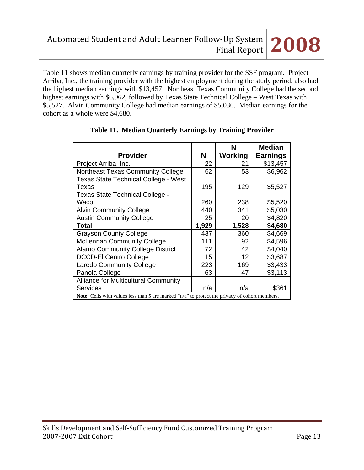Table 11 shows median quarterly earnings by training provider for the SSF program. Project Arriba, Inc., the training provider with the highest employment during the study period, also had the highest median earnings with \$13,457. Northeast Texas Community College had the second highest earnings with \$6,962, followed by Texas State Technical College – West Texas with \$5,527. Alvin Community College had median earnings of \$5,030. Median earnings for the cohort as a whole were \$4,680.

|                                                                                                |       | N       | <b>Median</b>   |  |
|------------------------------------------------------------------------------------------------|-------|---------|-----------------|--|
| <b>Provider</b>                                                                                | N     | Working | <b>Earnings</b> |  |
| Project Arriba, Inc.                                                                           | 22    | 21      | \$13,457        |  |
| Northeast Texas Community College                                                              | 62    | 53      | \$6,962         |  |
| Texas State Technical College - West                                                           |       |         |                 |  |
| Texas                                                                                          | 195   | 129     | \$5,527         |  |
| Texas State Technical College -                                                                |       |         |                 |  |
| Waco                                                                                           | 260   | 238     | \$5,520         |  |
| <b>Alvin Community College</b>                                                                 | 440   | 341     | \$5,030         |  |
| <b>Austin Community College</b>                                                                | 25    | 20      | \$4,820         |  |
| Total                                                                                          | 1,929 | 1,528   | \$4,680         |  |
| <b>Grayson County College</b>                                                                  | 437   | 360     | \$4,669         |  |
| <b>McLennan Community College</b>                                                              | 111   | 92      | \$4,596         |  |
| <b>Alamo Community College District</b>                                                        | 72    | 42      | \$4,040         |  |
| <b>DCCD-El Centro College</b>                                                                  | 15    | 12      | \$3,687         |  |
| <b>Laredo Community College</b>                                                                | 223   | 169     | \$3,433         |  |
| Panola College                                                                                 | 63    | 47      | \$3,113         |  |
| Alliance for Multicultural Community                                                           |       |         |                 |  |
| <b>Services</b>                                                                                | n/a   | n/a     | \$361           |  |
| Note: Cells with values less than 5 are marked "n/a" to protect the privacy of cohort members. |       |         |                 |  |

## **Table 11. Median Quarterly Earnings by Training Provider**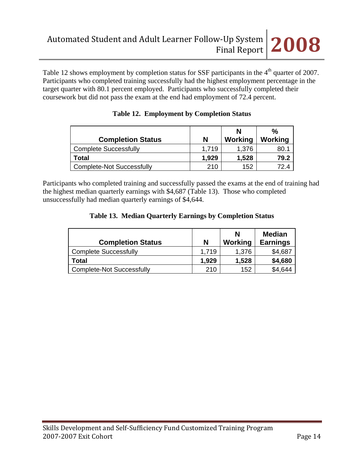Table 12 shows employment by completion status for SSF participants in the  $4<sup>th</sup>$  quarter of 2007. Participants who completed training successfully had the highest employment percentage in the target quarter with 80.1 percent employed. Participants who successfully completed their coursework but did not pass the exam at the end had employment of 72.4 percent.

| <b>Completion Status</b>         | N     | N<br>Working | %<br>Working |
|----------------------------------|-------|--------------|--------------|
| <b>Complete Successfully</b>     | 1.719 | 1,376        | 80.          |
| Total                            | 1,929 | 1,528        | 79.2         |
| <b>Complete-Not Successfully</b> | 210   | 152          |              |

|  | <b>Table 12. Employment by Completion Status</b> |  |  |
|--|--------------------------------------------------|--|--|
|--|--------------------------------------------------|--|--|

Participants who completed training and successfully passed the exams at the end of training had the highest median quarterly earnings with \$4,687 (Table 13). Those who completed unsuccessfully had median quarterly earnings of \$4,644.

## **Table 13. Median Quarterly Earnings by Completion Status**

| <b>Completion Status</b>         | N     | N<br>Working | <b>Median</b><br><b>Earnings</b> |
|----------------------------------|-------|--------------|----------------------------------|
| <b>Complete Successfully</b>     | 1.719 | 1,376        | \$4,687                          |
| Total                            | 1,929 | 1,528        | \$4,680                          |
| <b>Complete-Not Successfully</b> | 210   | 152          | \$4,644                          |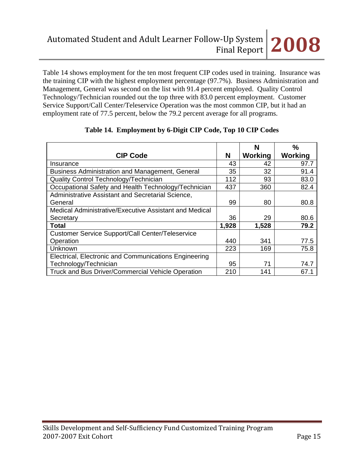Table 14 shows employment for the ten most frequent CIP codes used in training. Insurance was the training CIP with the highest employment percentage (97.7%). Business Administration and Management, General was second on the list with 91.4 percent employed. Quality Control Technology/Technician rounded out the top three with 83.0 percent employment. Customer Service Support/Call Center/Teleservice Operation was the most common CIP, but it had an employment rate of 77.5 percent, below the 79.2 percent average for all programs.

|                                                          |       | N       | %       |
|----------------------------------------------------------|-------|---------|---------|
| <b>CIP Code</b>                                          | Ν     | Working | Working |
| Insurance                                                | 43    | 42      | 97.7    |
| Business Administration and Management, General          | 35    | 32      | 91.4    |
| Quality Control Technology/Technician                    | 112   | 93      | 83.0    |
| Occupational Safety and Health Technology/Technician     | 437   | 360     | 82.4    |
| Administrative Assistant and Secretarial Science,        |       |         |         |
| General                                                  | 99    | 80      | 80.8    |
| Medical Administrative/Executive Assistant and Medical   |       |         |         |
| Secretary                                                | 36    | 29      | 80.6    |
| <b>Total</b>                                             | 1,928 | 1,528   | 79.2    |
| <b>Customer Service Support/Call Center/Teleservice</b>  |       |         |         |
| Operation                                                | 440   | 341     | 77.5    |
| Unknown                                                  | 223   | 169     | 75.8    |
| Electrical, Electronic and Communications Engineering    |       |         |         |
| Technology/Technician                                    | 95    | 71      | 74.7    |
| <b>Truck and Bus Driver/Commercial Vehicle Operation</b> | 210   | 141     | 67.1    |

### **Table 14. Employment by 6-Digit CIP Code, Top 10 CIP Codes**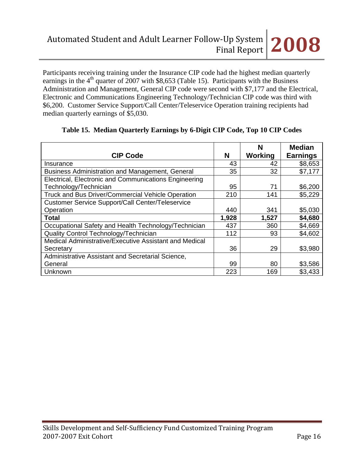Participants receiving training under the Insurance CIP code had the highest median quarterly earnings in the  $4<sup>th</sup>$  quarter of 2007 with \$8,653 (Table 15). Participants with the Business Administration and Management, General CIP code were second with \$7,177 and the Electrical, Electronic and Communications Engineering Technology/Technician CIP code was third with \$6,200. Customer Service Support/Call Center/Teleservice Operation training recipients had median quarterly earnings of \$5,030.

|                                                         |       | N       | <b>Median</b>   |
|---------------------------------------------------------|-------|---------|-----------------|
| <b>CIP Code</b>                                         | N     | Working | <b>Earnings</b> |
| Insurance                                               | 43    | 42      | \$8,653         |
| Business Administration and Management, General         | 35    | 32      | \$7,177         |
| Electrical, Electronic and Communications Engineering   |       |         |                 |
| Technology/Technician                                   | 95    | 71      | \$6,200         |
| Truck and Bus Driver/Commercial Vehicle Operation       | 210   | 141     | \$5,229         |
| <b>Customer Service Support/Call Center/Teleservice</b> |       |         |                 |
| Operation                                               | 440   | 341     | \$5,030         |
| <b>Total</b>                                            | 1,928 | 1,527   | \$4,680         |
| Occupational Safety and Health Technology/Technician    | 437   | 360     | \$4,669         |
| Quality Control Technology/Technician                   | 112   | 93      | \$4,602         |
| Medical Administrative/Executive Assistant and Medical  |       |         |                 |
| Secretary                                               | 36    | 29      | \$3,980         |
| Administrative Assistant and Secretarial Science,       |       |         |                 |
| General                                                 | 99    | 80      | \$3,586         |
| Unknown                                                 | 223   | 169     | \$3,433         |

## **Table 15. Median Quarterly Earnings by 6-Digit CIP Code, Top 10 CIP Codes**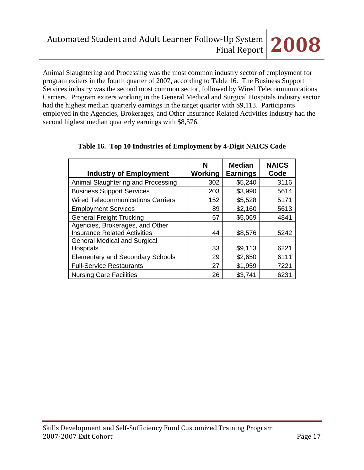Animal Slaughtering and Processing was the most common industry sector of employment for program exiters in the fourth quarter of 2007, according to Table 16. The Business Support Services industry was the second most common sector, followed by Wired Telecommunications Carriers. Program exiters working in the General Medical and Surgical Hospitals industry sector had the highest median quarterly earnings in the target quarter with \$9,113. Participants employed in the Agencies, Brokerages, and Other Insurance Related Activities industry had the second highest median quarterly earnings with \$8,576.

| <b>Industry of Employment</b>                                          | N<br>Working | <b>Median</b><br><b>Earnings</b> | <b>NAICS</b><br>Code |
|------------------------------------------------------------------------|--------------|----------------------------------|----------------------|
| Animal Slaughtering and Processing                                     | 302          | \$5,240                          | 3116                 |
| <b>Business Support Services</b>                                       | 203          | \$3,990                          | 5614                 |
| <b>Wired Telecommunications Carriers</b>                               | 152          | \$5,528                          | 5171                 |
| <b>Employment Services</b>                                             | 89           | \$2,160                          | 5613                 |
| <b>General Freight Trucking</b>                                        | 57           | \$5,069                          | 4841                 |
| Agencies, Brokerages, and Other<br><b>Insurance Related Activities</b> | 44           | \$8,576                          | 5242                 |
| <b>General Medical and Surgical</b><br>Hospitals                       | 33           | \$9,113                          | 6221                 |
| <b>Elementary and Secondary Schools</b>                                | 29           | \$2,650                          | 6111                 |
| <b>Full-Service Restaurants</b>                                        | 27           | \$1,959                          | 7221                 |
| <b>Nursing Care Facilities</b>                                         | 26           | \$3,741                          | 6231                 |

# **Table 16. Top 10 Industries of Employment by 4-Digit NAICS Code**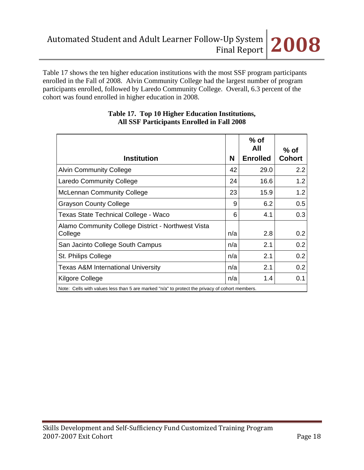

Table 17 shows the ten higher education institutions with the most SSF program participants enrolled in the Fall of 2008. Alvin Community College had the largest number of program participants enrolled, followed by Laredo Community College. Overall, 6.3 percent of the cohort was found enrolled in higher education in 2008.

| <b>Institution</b>                                                                             | N   | $%$ of<br>All<br><b>Enrolled</b> | $%$ of<br><b>Cohort</b> |
|------------------------------------------------------------------------------------------------|-----|----------------------------------|-------------------------|
| <b>Alvin Community College</b>                                                                 | 42  | 29.0                             | 2.2                     |
| Laredo Community College                                                                       | 24  | 16.6                             | 1.2                     |
| <b>McLennan Community College</b>                                                              | 23  | 15.9                             | 1.2                     |
| <b>Grayson County College</b>                                                                  | 9   | 6.2                              | 0.5                     |
| Texas State Technical College - Waco                                                           | 6   | 4.1                              | 0.3                     |
| Alamo Community College District - Northwest Vista<br>College                                  | n/a | 2.8                              | 0.2                     |
| San Jacinto College South Campus                                                               | n/a | 2.1                              | 0.2 <sub>0</sub>        |
| St. Philips College                                                                            | n/a | 2.1                              | 0.2                     |
| Texas A&M International University                                                             | n/a | 2.1                              | 0.2 <sub>0</sub>        |
| Kilgore College                                                                                | n/a | 1.4                              | 0.1                     |
| Note: Cells with values less than 5 are marked "n/a" to protect the privacy of cohort members. |     |                                  |                         |

## **Table 17. Top 10 Higher Education Institutions, All SSF Participants Enrolled in Fall 2008**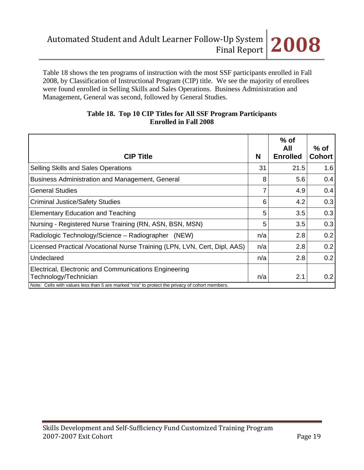Table 18 shows the ten programs of instruction with the most SSF participants enrolled in Fall 2008, by Classification of Instructional Program (CIP) title. We see the majority of enrollees were found enrolled in Selling Skills and Sales Operations. Business Administration and Management, General was second, followed by General Studies.

| <b>CIP Title</b>                                                                                                                                                                 | N   | $%$ of<br>All<br><b>Enrolled</b> | $%$ of<br><b>Cohort</b> |
|----------------------------------------------------------------------------------------------------------------------------------------------------------------------------------|-----|----------------------------------|-------------------------|
| Selling Skills and Sales Operations                                                                                                                                              | 31  | 21.5                             | 1.6                     |
| Business Administration and Management, General                                                                                                                                  | 8   | 5.6                              | 0.4                     |
| <b>General Studies</b>                                                                                                                                                           | 7   | 4.9                              | 0.4                     |
| <b>Criminal Justice/Safety Studies</b>                                                                                                                                           | 6   | 4.2                              | 0.3                     |
| <b>Elementary Education and Teaching</b>                                                                                                                                         | 5   | 3.5                              | 0.3                     |
| Nursing - Registered Nurse Training (RN, ASN, BSN, MSN)                                                                                                                          | 5   | 3.5                              | 0.3                     |
| Radiologic Technology/Science – Radiographer<br>(NEW)                                                                                                                            | n/a | 2.8                              | 0.2                     |
| Licensed Practical / Vocational Nurse Training (LPN, LVN, Cert, Dipl, AAS)                                                                                                       | n/a | 2.8                              | 0.2                     |
| Undeclared                                                                                                                                                                       | n/a | 2.8                              | 0.2                     |
| Electrical, Electronic and Communications Engineering<br>Technology/Technician<br>Note: Cells with values less than 5 are marked "n/a" to protect the privacy of cohort members. | n/a | 2.1                              | 0.2                     |

## **Table 18. Top 10 CIP Titles for All SSF Program Participants Enrolled in Fall 2008**